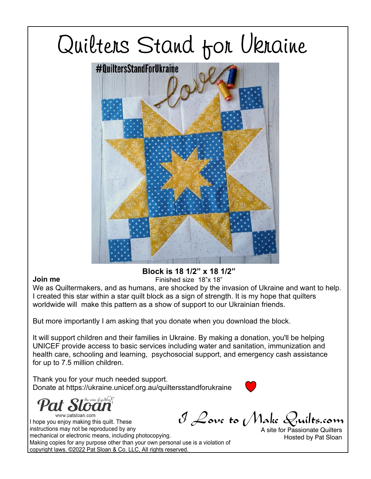

#### **Join me**

### **Block is 18 1/2" x 18 1/2"**

Finished size 18"x 18"

We as Quiltermakers, and as humans, are shocked by the invasion of Ukraine and want to help. I created this star within a star quilt block as a sign of strength. It is my hope that quilters worldwide will make this pattern as a show of support to our Ukrainian friends.

But more importantly I am asking that you donate when you download the block.

It will support children and their families in Ukraine. By making a donation, you'll be helping UNICEF provide access to basic services including water and sanitation, immunization and health care, schooling and learning, psychosocial support, and emergency cash assistance for up to 7.5 million children.

Thank you for your much needed support. Donate at https://ukraine.unicef.org.au/quiltersstandforukraine

<sup>the voice</sup> of quilting www.patsloan.com

I Love to Make Quilts.com I hope you enjoy making this quilt. These instructions may not be reproduced by any mechanical or electronic means, including photocopying. Making copies for any purpose other than your own personal use is a violation of copyright laws. ©2022 Pat Sloan & Co. LLC, All rights reserved.

A site for Passionate Quilters Hosted by Pat Sloan

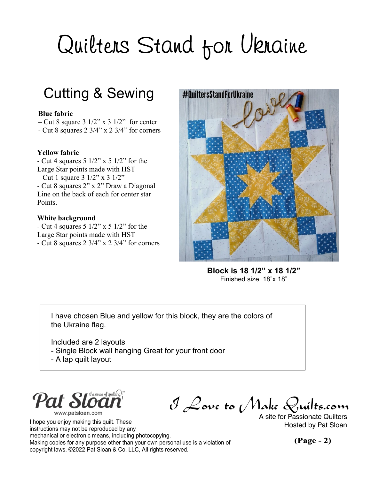### Cutting & Sewing

#### **Blue fabric**

– Cut 8 square  $3 \frac{1}{2}$ " x  $3 \frac{1}{2}$ " for center

- Cut 8 squares 2 3/4" x 2 3/4" for corners

#### **Yellow fabric**

- Cut 4 squares  $5 \frac{1}{2}$ " x  $5 \frac{1}{2}$ " for the Large Star points made with HST – Cut 1 square  $3 \frac{1}{2}$ " x  $3 \frac{1}{2}$ " - Cut 8 squares 2" x 2" Draw a Diagonal Line on the back of each for center star Points.

#### **White background**

- Cut 4 squares  $5 \frac{1}{2}$ " x  $5 \frac{1}{2}$ " for the Large Star points made with HST - Cut 8 squares 2 3/4" x 2 3/4" for corners



**Block is 18 1/2" x 18 1/2"** Finished size 18"x 18"

I have chosen Blue and yellow for this block, they are the colors of the Ukraine flag.

Included are 2 layouts

- Single Block wall hanging Great for your front door
- A lap quilt layout



I hope you enjoy making this quilt. These instructions may not be reproduced by any mechanical or electronic means, including photocopying. Making copies for any purpose other than your own personal use is a violation of copyright laws. ©2022 Pat Sloan & Co. LLC, All rights reserved.

I Love to Make Quilts.com

A site for Passionate Quilters Hosted by Pat Sloan

**(Page - 2)**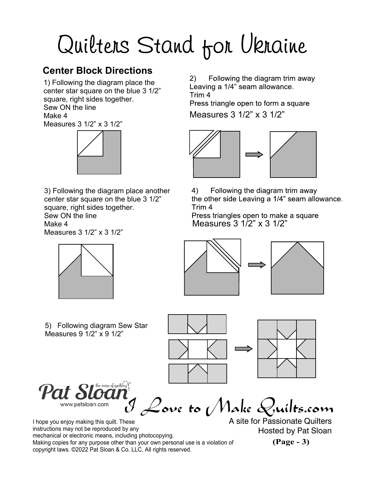### **Center Block Directions**

1) Following the diagram place the center star square on the blue 3 1/2" square, right sides together. Sew ON the line Make 4

Measures 3 1/2" x 3 1/2"



3) Following the diagram place another center star square on the blue 3 1/2" square, right sides together. Sew ON the line Make 4

Measures 3 1/2" x 3 1/2"



Following the diagram trim away  $(2)$ Leaving a 1/4" seam allowance. Trim<sub>4</sub> Press triangle open to form a square Measures 3 1/2" x 3 1/2"



4) Following the diagram trim away the other side Leaving a 1/4" seam allowance. Trim<sub>4</sub>

Press triangles open to make a square Measures 3 1/2" x 3 1/2"





5) Following diagram Sew Star Measures 9 1/2" x 9 1/2"





e voice of quilting  $\mathcal{C}$ 

I Love to Make Quilts.com

I hope you enjoy making this quilt. These instructions may not be reproduced by any mechanical or electronic means, including photocopying. Making copies for any purpose other than your own personal use is a violation of copyright laws. ©2022 Pat Sloan & Co. LLC, All rights reserved.

A site for Passionate Quilters Hosted by Pat Sloan

**(Page - 3)**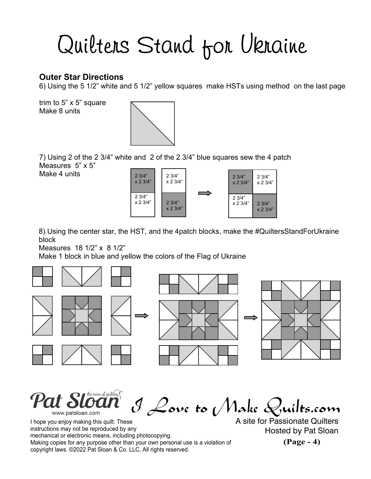#### **Outer Star Directions**

6) Using the 5 1/2" white and 5 1/2" yellow squares make HSTs using method on the last page

trim to 5" x 5" square Make 8 units



7) Using 2 of the 2 3/4" white and 2 of the 2 3/4" blue squares sew the 4 patch Measures 5" x 5"

Make 4 units  $\frac{1}{2} \frac{3}{4^n}$ 



8) Using the center star, the HST, and the 4patch blocks, make the #QuiltersStandForUkraine block

Measures 18 1/2" x 8 1/2"

Make 1 block in blue and yellow the colors of the Flag of Ukraine



ice of quilting **!** I Love to Make Quilts.com www.patsloan.com

I hope you enjoy making this quilt. These instructions may not be reproduced by any mechanical or electronic means, including photocopying. Making copies for any purpose other than your own personal use is a violation of copyright laws. ©2022 Pat Sloan & Co. LLC, All rights reserved.

A site for Passionate Quilters Hosted by Pat Sloan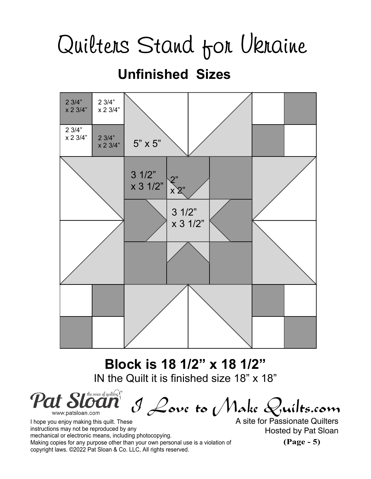### **Unfinished Sizes**



**Block is 18 1/2" x 18 1/2"** IN the Quilt it is finished size 18" x 18"

voice of quilting  $\int_0^\infty$ Pat Sloan I Love to Make Quilts.com www.patsloan.com

I hope you enjoy making this quilt. These instructions may not be reproduced by any mechanical or electronic means, including photocopying. Making copies for any purpose other than your own personal use is a violation of copyright laws. ©2022 Pat Sloan & Co. LLC, All rights reserved.

A site for Passionate Quilters Hosted by Pat Sloan

**(Page - 5)**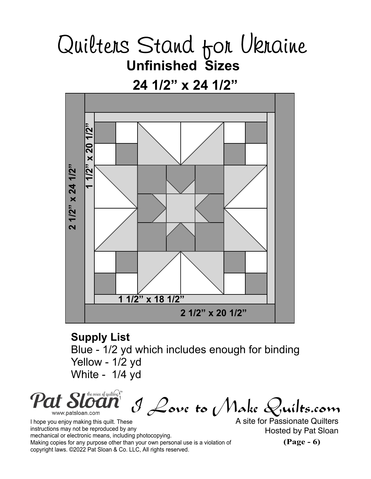**24 1/2" x 24 1/2"**



**Supply List** Blue - 1/2 yd which includes enough for binding Yellow - 1/2 yd White - 1/4 yd

the voice of quilting  $\int_0^\infty$ Pat Sloa I Love to Make Quilts.com www.patsloan.com

I hope you enjoy making this quilt. These instructions may not be reproduced by any mechanical or electronic means, including photocopying. Making copies for any purpose other than your own personal use is a violation of copyright laws. ©2022 Pat Sloan & Co. LLC, All rights reserved.

A site for Passionate Quilters Hosted by Pat Sloan

**(Page - 6)**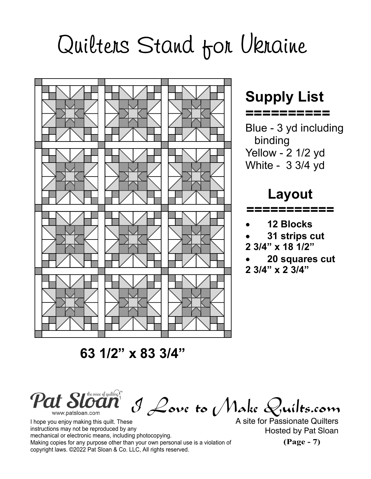

### **Supply List**

**==========**

Blue - 3 yd including binding Yellow - 2 1/2 yd White - 3 3/4 yd

### **Layout**

**===========**

- **12 Blocks**
- **31 strips cut**
- **2 3/4" x 18 1/2"**
- **20 squares cut**
- **2 3/4" x 2 3/4"**

 **63 1/2" x 83 3/4"**

Pat Sloc I Love to Make Quilts.com www.patsloan.com

I hope you enjoy making this quilt. These instructions may not be reproduced by any mechanical or electronic means, including photocopying. Making copies for any purpose other than your own personal use is a violation of copyright laws. ©2022 Pat Sloan & Co. LLC, All rights reserved.

A site for Passionate Quilters Hosted by Pat Sloan